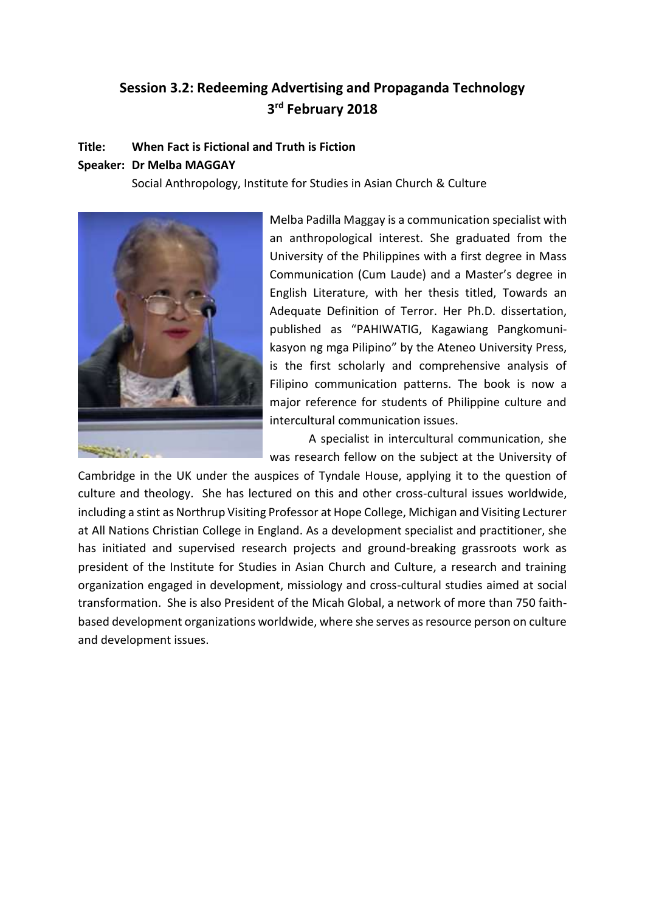# **Session 3.2: Redeeming Advertising and Propaganda Technology 3 rd February 2018**

#### **Title: When Fact is Fictional and Truth is Fiction**

#### **Speaker: Dr Melba MAGGAY**

Social Anthropology, Institute for Studies in Asian Church & Culture



Melba Padilla Maggay is a communication specialist with an anthropological interest. She graduated from the University of the Philippines with a first degree in Mass Communication (Cum Laude) and a Master's degree in English Literature, with her thesis titled, Towards an Adequate Definition of Terror. Her Ph.D. dissertation, published as "PAHIWATIG, Kagawiang Pangkomunikasyon ng mga Pilipino" by the Ateneo University Press, is the first scholarly and comprehensive analysis of Filipino communication patterns. The book is now a major reference for students of Philippine culture and intercultural communication issues.

A specialist in intercultural communication, she was research fellow on the subject at the University of

Cambridge in the UK under the auspices of Tyndale House, applying it to the question of culture and theology. She has lectured on this and other cross-cultural issues worldwide, including a stint as Northrup Visiting Professor at Hope College, Michigan and Visiting Lecturer at All Nations Christian College in England. As a development specialist and practitioner, she has initiated and supervised research projects and ground-breaking grassroots work as president of the Institute for Studies in Asian Church and Culture, a research and training organization engaged in development, missiology and cross-cultural studies aimed at social transformation. She is also President of the Micah Global, a network of more than 750 faithbased development organizations worldwide, where she serves as resource person on culture and development issues.